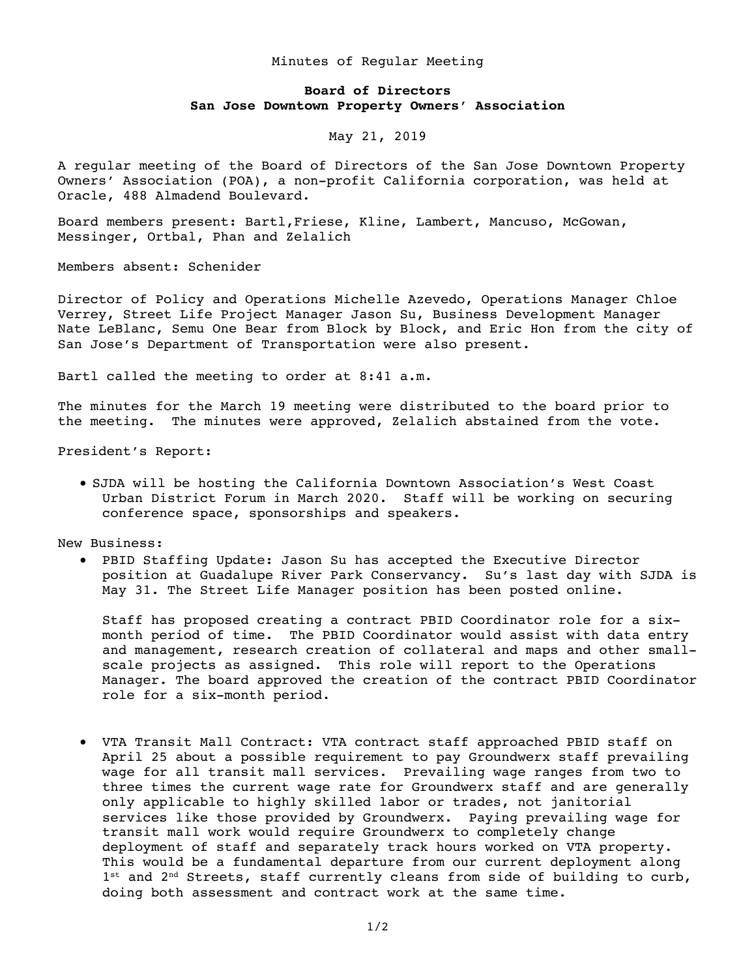Minutes of Regular Meeting

## **Board of Directors San Jose Downtown Property Owners' Association**

## May 21, 2019

A regular meeting of the Board of Directors of the San Jose Downtown Property Owners' Association (POA), a non-profit California corporation, was held at Oracle, 488 Almadend Boulevard.

Board members present: Bartl,Friese, Kline, Lambert, Mancuso, McGowan, Messinger, Ortbal, Phan and Zelalich

Members absent: Schenider

Director of Policy and Operations Michelle Azevedo, Operations Manager Chloe Verrey, Street Life Project Manager Jason Su, Business Development Manager Nate LeBlanc, Semu One Bear from Block by Block, and Eric Hon from the city of San Jose's Department of Transportation were also present.

Bartl called the meeting to order at 8:41 a.m.

The minutes for the March 19 meeting were distributed to the board prior to the meeting. The minutes were approved, Zelalich abstained from the vote.

President's Report:

• SJDA will be hosting the California Downtown Association's West Coast Urban District Forum in March 2020. Staff will be working on securing conference space, sponsorships and speakers.

New Business:

• PBID Staffing Update: Jason Su has accepted the Executive Director position at Guadalupe River Park Conservancy. Su's last day with SJDA is May 31. The Street Life Manager position has been posted online.

Staff has proposed creating a contract PBID Coordinator role for a sixmonth period of time. The PBID Coordinator would assist with data entry and management, research creation of collateral and maps and other smallscale projects as assigned. This role will report to the Operations Manager. The board approved the creation of the contract PBID Coordinator role for a six-month period.

• VTA Transit Mall Contract: VTA contract staff approached PBID staff on April 25 about a possible requirement to pay Groundwerx staff prevailing wage for all transit mall services. Prevailing wage ranges from two to three times the current wage rate for Groundwerx staff and are generally only applicable to highly skilled labor or trades, not janitorial services like those provided by Groundwerx. Paying prevailing wage for transit mall work would require Groundwerx to completely change deployment of staff and separately track hours worked on VTA property. This would be a fundamental departure from our current deployment along 1<sup>st</sup> and 2<sup>nd</sup> Streets, staff currently cleans from side of building to curb, doing both assessment and contract work at the same time.